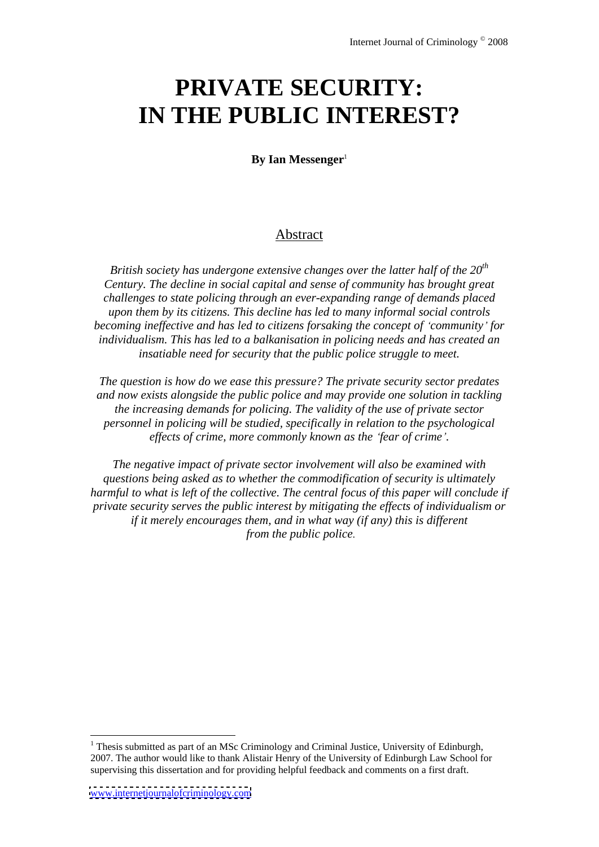# **PRIVATE SECURITY: IN THE PUBLIC INTEREST?**

**By Ian Messenger**<sup>1</sup>

## Abstract **Abstract**

*British society has undergone extensive changes over the latter half of the 20 th Century. The decline in social capital and sense of community has brought great challenges to state policing through an ever-expanding range of demands placed upon them by its citizens. This decline has led to many informalsocial controls becoming inef ective and has led to citizens forsaking the concept of community for individualism. This has led to a balkanisation in policing needs and has created an insatiable need for security that the public police struggle to meet.*

*The question is how do we ease this pressure? The private security sector predates and now exists alongside the public police and may provide one solution in tackling the increasing demands for policing. The validity of the use of private sector personnel in policing will be studied, specifically in relation to the psychological ef ects of crime, more commonly known as the fear of crime .*

*The negative impact of private sector involvement will also be examined with questions being asked as to whether the commodification of security is ultimately harmful to what is left of the collective. The central focus of this paper will conclude if private security serves the public interest by mitigating the ef ects of individualism or if it merely encourages them, and in what way (if any) this is dif erent from the public police*.

<sup>&</sup>lt;sup>1</sup> Thesis submitted as part of an MSc Criminology and Criminal Justice, University of Edinburgh, 2007. The author would like to thank Alistair Henry of the University of Edinburgh Law School for supervising this dissertation and for providing helpful feedback and comments on a first draft.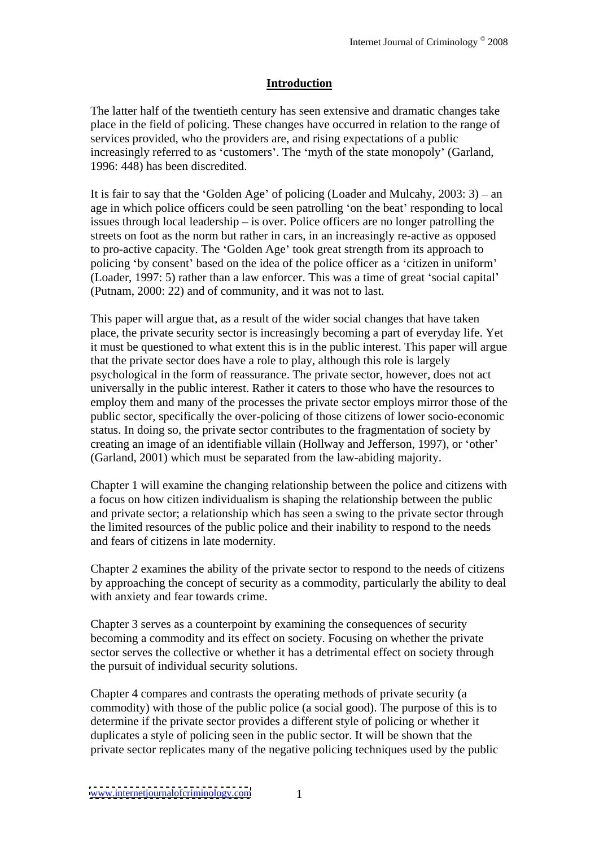# **Introduction**

The latter half of the twentieth century has seen extensive and dramatic changes take place in the field of policing. These changes have occurred in relation to the range of services provided, who the providers are, and rising expectations of a public increasingly referred to as 'customers'. The 'myth of the state monopoly' (Garland, 1996: 448) has been discredited.

It is fair to say that the 'Golden Age' of policing (Loader and Mulcahy,  $2003: 3$ ) – an age in which police officers could be seen patrolling 'on the beat' responding to local issues through local leadership  $-$  is over. Police officers are no longer patrolling the streets on foot as the norm but rather in cars, in an increasingly re-active as opposed to pro-active capacity. The 'Golden Age' took great strength from its approach to policing 'by consent' based on the idea of the police officer as a 'citizen in uniform' (Loader, 1997: 5) rather than a law enforcer. This was a time of great 'social capital' (Putnam, 2000: 22) and of community, and it was not to last.

This paper will argue that, as a result of the wider social changes that have taken place, the private security sector is increasingly becoming a part of everyday life. Yet it must be questioned to what extent this is in the public interest. This paper will argue that the private sector does have a role to play, although this role is largely psychological in the form of reassurance. The private sector, however, does not act universally in the public interest. Rather it caters to those who have the resources to employ them and many of the processes the private sector employs mirror those of the public sector, specifically the over-policing of those citizens of lower socio-economic status. In doing so, the private sector contributes to the fragmentation of society by creating an image of an identifiable villain (Hollway and Jefferson, 1997), or 'other' (Garland, 2001) which must be separated from the law-abiding majority.

Chapter 1 will examine the changing relationship between the police and citizens with a focus on how citizen individualism is shaping the relationship between the public and private sector; a relationship which has seen a swing to the private sector through the limited resources of the public police and their inability to respond to the needs and fears of citizens in late modernity.

Chapter 2 examines the ability of the private sector to respond to the needs of citizens by approaching the concept of security as a commodity, particularly the ability to deal with anxiety and fear towards crime.

Chapter 3 serves as a counterpoint by examining the consequences of security becoming a commodity and its effect on society. Focusing on whether the private sector serves the collective or whether it has a detrimental effect on society through the pursuit of individual security solutions.

Chapter 4 compares and contrasts the operating methods of private security (a commodity) with those of the public police (a social good). The purpose of this is to determine if the private sector provides a different style of policing or whether it duplicates a style of policing seen in the public sector. It will be shown that the private sector replicates many of the negative policing techniques used by the public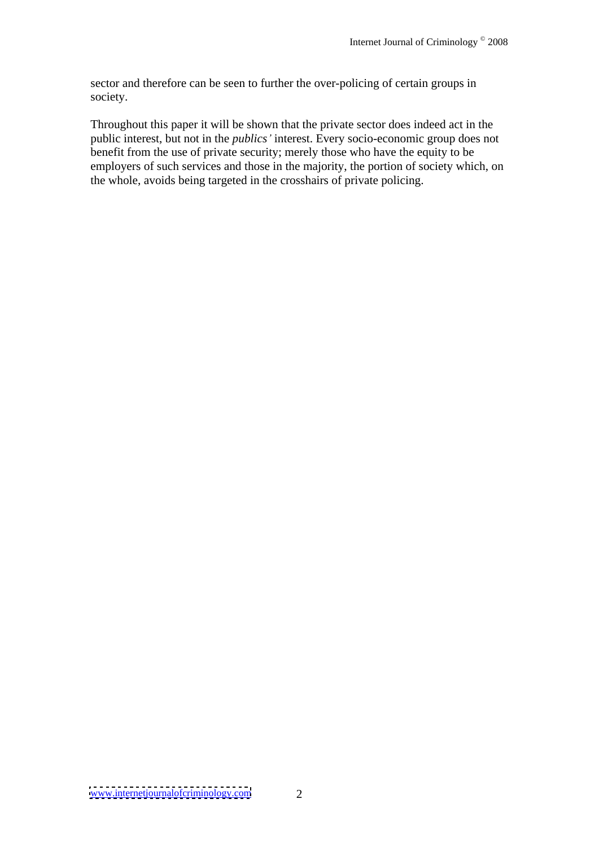sector and therefore can be seen to further the over-policing of certain groups in society.

Throughout this paper it will be shown that the private sector does indeed act in the public interest, but not in the *publics* interest. Every socio-economic group does not benefit from the use of private security; merely those who have the equity to be employers of such services and those in the majority, the portion of society which, on the whole, avoids being targeted in the crosshairs of private policing.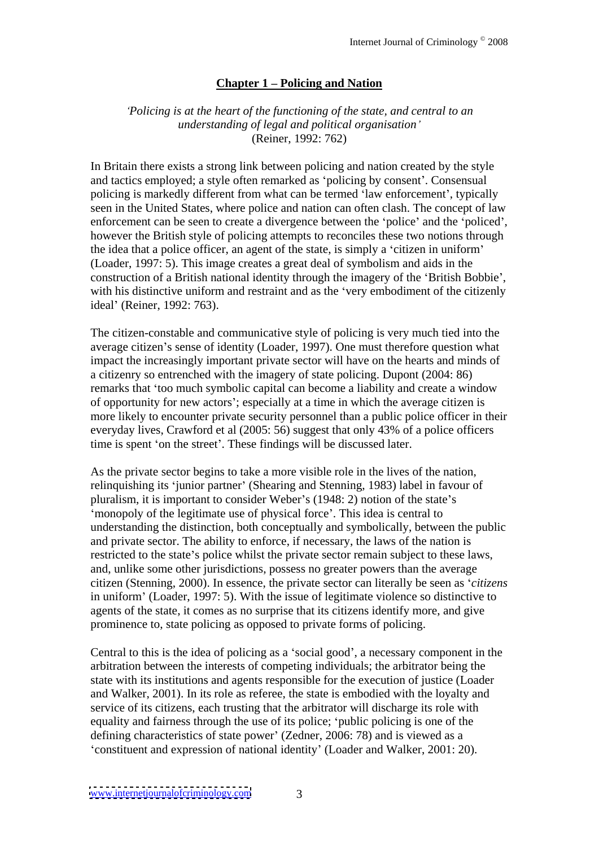# **Chapter 1 Policing and Nation**

#### *Policing is at the heart of the functioning of the state, and central to an understanding of legal and political organisation* (Reiner, 1992: 762)

In Britain there exists a strong link between policing and nation created by the style and tactics employed; a style often remarked as 'policing by consent'. Consensual policing is markedly different from what can be termed 'law enforcement', typically seen in the United States, where police and nation can often clash. The concept of law enforcement can be seen to create a divergence between the 'police' and the 'policed', however the British style of policing attempts to reconciles these two notions through the idea that a police officer, an agent of the state, is simply a 'citizen in uniform' (Loader, 1997: 5). This image creates a great deal of symbolism and aids in the construction of a British national identity through the imagery of the 'British Bobbie', with his distinctive uniform and restraint and as the 'very embodiment of the citizenly ideal' (Reiner, 1992: 763).

The citizen-constable and communicative style of policing is very much tied into the average citizen's sense of identity (Loader, 1997). One must therefore question what impact the increasingly important private sector will have on the hearts and minds of a citizenry so entrenched with the imagery of state policing. Dupont (2004: 86) remarks that 'too much symbolic capital can become a liability and create a window of opportunity for new actors ; especially at a time in which the average citizen is more likely to encounter private security personnel than a public police officer in their everyday lives, Crawford et al (2005: 56) suggest that only 43% of a police officers time is spent 'on the street'. These findings will be discussed later.

As the private sector begins to take a more visible role in the lives of the nation, relinquishing its 'junior partner' (Shearing and Stenning, 1983) label in favour of pluralism, it is important to consider Weber's (1948: 2) notion of the state's monopoly of the legitimate use of physical force . This idea is central to understanding the distinction, both conceptually and symbolically, between the public and private sector. The ability to enforce, if necessary, the laws of the nation is restricted to the state's police whilst the private sector remain subject to these laws, and, unlike some other jurisdictions, possess no greater powers than the average citizen (Stenning, 2000). In essence, the private sector can literally be seen as *citizens* in uniform' (Loader, 1997: 5). With the issue of legitimate violence so distinctive to agents of the state, it comes as no surprise that its citizens identify more, and give prominence to, state policing as opposed to private forms of policing.

Central to this is the idea of policing as a 'social good', a necessary component in the arbitration between the interests of competing individuals; the arbitrator being the state with its institutions and agents responsible for the execution of justice (Loader and Walker, 2001). In its role as referee, the state is embodied with the loyalty and service of its citizens, each trusting that the arbitrator will discharge its role with equality and fairness through the use of its police; 'public policing is one of the defining characteristics of state power' (Zedner, 2006: 78) and is viewed as a constituent and expression of national identity (Loader and Walker, 2001: 20).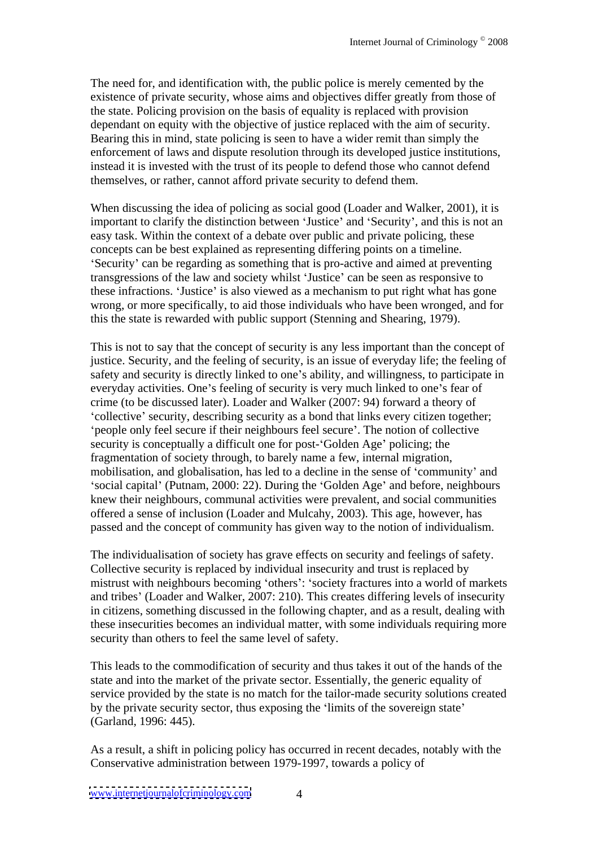The need for, and identification with, the public police is merely cemented by the existence of private security, whose aims and objectives differ greatly from those of the state. Policing provision on the basis of equality is replaced with provision dependant on equity with the objective of justice replaced with the aim of security. Bearing this in mind, state policing is seen to have a wider remit than simply the enforcement of laws and dispute resolution through its developed justice institutions, instead it is invested with the trust of its people to defend those who cannot defend themselves, or rather, cannot afford private security to defend them.

When discussing the idea of policing as social good (Loader and Walker, 2001), it is important to clarify the distinction between 'Justice' and 'Security', and this is not an easy task. Within the context of a debate over public and private policing, these concepts can be best explained as representing differing points on a timeline. Security' can be regarding as something that is pro-active and aimed at preventing transgressions of the law and society whilst 'Justice' can be seen as responsive to these infractions. 'Justice' is also viewed as a mechanism to put right what has gone wrong, or more specifically, to aid those individuals who have been wronged, and for this the state is rewarded with public support (Stenning and Shearing, 1979).

This is not to say that the concept of security is any less important than the concept of justice. Security, and the feeling of security, is an issue of everyday life; the feeling of safety and security is directly linked to one's ability, and willingness, to participate in everyday activities. One's feeling of security is very much linked to one's fear of crime (to be discussed later). Loader and Walker (2007: 94) forward a theory of 'collective' security, describing security as a bond that links every citizen together; people only feel secure if their neighbours feel secure . The notion of collective security is conceptually a difficult one for post-'Golden Age' policing; the fragmentation of society through, to barely name a few, internal migration, mobilisation, and globalisation, has led to a decline in the sense of 'community' and 'social capital' (Putnam, 2000: 22). During the 'Golden Age' and before, neighbours knew their neighbours, communal activities were prevalent, and social communities offered a sense of inclusion (Loader and Mulcahy, 2003). This age, however, has passed and the concept of community has given way to the notion of individualism.

The individualisation of society has grave effects on security and feelings of safety. Collective security is replaced by individual insecurity and trust is replaced by mistrust with neighbours becoming 'others': 'society fractures into a world of markets and tribes' (Loader and Walker, 2007: 210). This creates differing levels of insecurity in citizens, something discussed in the following chapter, and as a result, dealing with these insecurities becomes an individual matter, with some individuals requiring more security than others to feel the same level of safety.

This leads to the commodification of security and thus takes it out of the hands of the state and into the market of the private sector. Essentially, the generic equality of service provided by the state is no match for the tailor-made security solutions created by the private security sector, thus exposing the 'limits of the sovereign state' (Garland, 1996: 445).

As a result, a shift in policing policy has occurred in recent decades, notably with the Conservative administration between 1979-1997, towards a policy of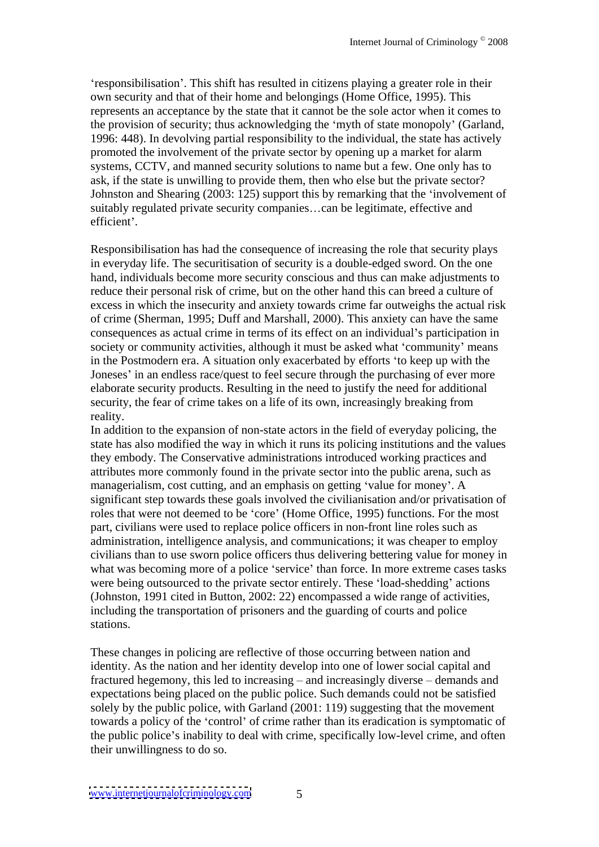responsibilisation . This shift has resulted in citizens playing a greater role in their own security and that of their home and belongings(Home Office, 1995). This represents an acceptance by the state that it cannot be the sole actor when it comes to the provision of security; thus acknowledging the 'myth of state monopoly' (Garland, 1996: 448). In devolving partial responsibility to the individual, the state has actively promoted the involvement of the private sector by opening up a market for alarm systems, CCTV, and manned security solutions to name but a few. One only has to ask, if the state is unwilling to provide them, then who else but the private sector? Johnston and Shearing (2003: 125) support this by remarking that the 'involvement of suitably regulated private security companies...can be legitimate, effective and efficient'.

Responsibilisation has had the consequence of increasing the role that security plays in everyday life. The securitisation of security is a double-edged sword. On the one hand, individuals become more security conscious and thus can make adjustments to reduce their personal risk of crime, but on the other hand this can breed a culture of excess in which the insecurity and anxiety towards crime far outweighs the actual risk of crime (Sherman, 1995; Duff and Marshall, 2000). This anxiety can have the same consequences as actual crime in terms of its effect on an individual's participation in society or community activities, although it must be asked what 'community' means in the Postmodern era. A situation only exacerbated by efforts 'to keep up with the Joneses' in an endless race/quest to feel secure through the purchasing of ever more elaborate security products. Resulting in the need to justify the need for additional security, the fear of crime takes on a life of its own, increasingly breaking from reality.

In addition to the expansion of non-state actors in the field of everyday policing, the state has also modified the way in which it runs its policing institutions and the values they embody. The Conservative administrations introduced working practices and attributes more commonly found in the private sector into the public arena, such as managerialism, cost cutting, and an emphasis on getting 'value for money'. A significant step towards these goals involved the civilianisation and/or privatisation of roles that were not deemed to be 'core' (Home Office, 1995) functions. For the most part, civilians were used to replace police officers in non-front line roles such as administration, intelligence analysis, and communications; it was cheaper to employ civilians than to use sworn police officers thus delivering bettering value for money in what was becoming more of a police 'service' than force. In more extreme cases tasks were being outsourced to the private sector entirely. These 'load-shedding' actions (Johnston, 1991 cited in Button, 2002: 22) encompassed a wide range of activities, including the transportation of prisoners and the guarding of courts and police stations.

These changes in policing are reflective of those occurring between nation and identity. As the nation and her identity develop into one of lower social capital and fractured hegemony, this led to increasing  $-$  and increasingly diverse  $-$  demands and expectations being placed on the public police. Such demands could not be satisfied solely by the public police, with Garland (2001: 119) suggesting that the movement towards a policy of the 'control' of crime rather than its eradication is symptomatic of the public police's inability to deal with crime, specifically low-level crime, and often their unwillingness to do so.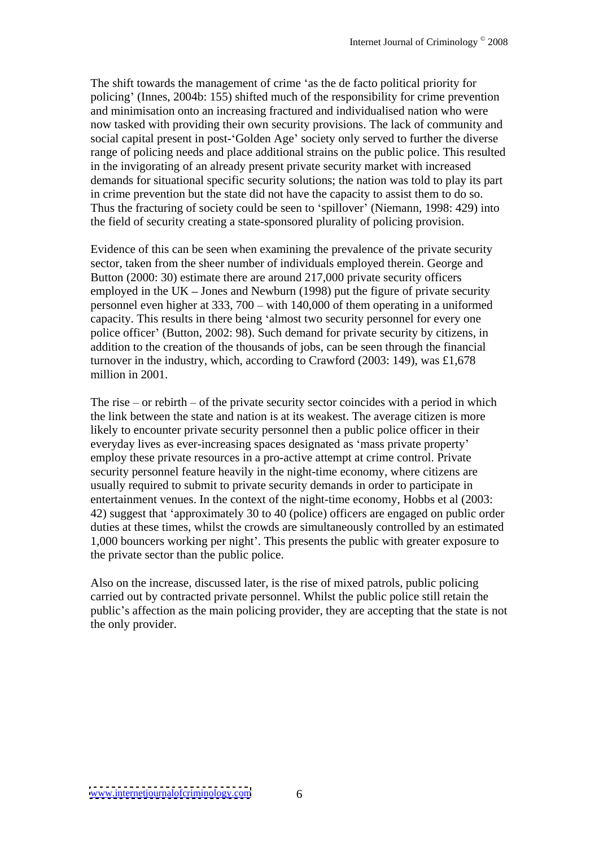The shift towards the management of crime 'as the de facto political priority for policing (Innes, 2004b: 155) shifted much of the responsibility for crime prevention and minimisation onto an increasing fractured and individualised nation who were now tasked with providing their own security provisions. The lack of community and social capital present in post-'Golden Age' society only served to further the diverse range of policing needs and place additional strains on the public police. This resulted in the invigorating of an already present private security market with increased demands for situational specific security solutions; the nation was told to play its part in crime prevention but the state did not have the capacity to assist them to do so. Thus the fracturing of society could be seen to 'spillover' (Niemann, 1998: 429) into the field of security creating a state-sponsored plurality of policing provision.

Evidence of this can be seen when examining the prevalence of the private security sector, taken from the sheer number of individuals employed therein. George and Button (2000: 30) estimate there are around 217,000 private security officers employed in the UK – Jones and Newburn (1998) put the figure of private security personnel even higher at  $333$ ,  $700 - \text{with } 140,000$  of them operating in a uniformed capacity. This results in there being 'almost two security personnel for every one police officer' (Button, 2002: 98). Such demand for private security by citizens, in addition to the creation of the thousands of jobs, can be seen through the financial turnover in the industry, which, according to Crawford (2003: 149), was £1,678 million in 2001.

The rise  $-$  or rebirth  $-$  of the private security sector coincides with a period in which the link between the state and nation is at its weakest. The average citizen is more likely to encounter private security personnel then a public police officer in their everyday lives as ever-increasing spaces designated as 'mass private property' employ these private resources in a pro-active attempt at crime control. Private security personnel feature heavily in the night-time economy, where citizens are usually required to submit to private security demandsin order to participate in entertainment venues. In the context of the night-time economy, Hobbs et al (2003: 42) suggest that 'approximately 30 to 40 (police) officers are engaged on public order duties at these times, whilst the crowds are simultaneously controlled by an estimated 1,000 bouncers working per night'. This presents the public with greater exposure to the private sector than the public police.

Also on the increase, discussed later, is the rise of mixed patrols, public policing carried out by contracted private personnel. Whilst the public police still retain the public's affection as the main policing provider, they are accepting that the state is not the only provider. the only provider.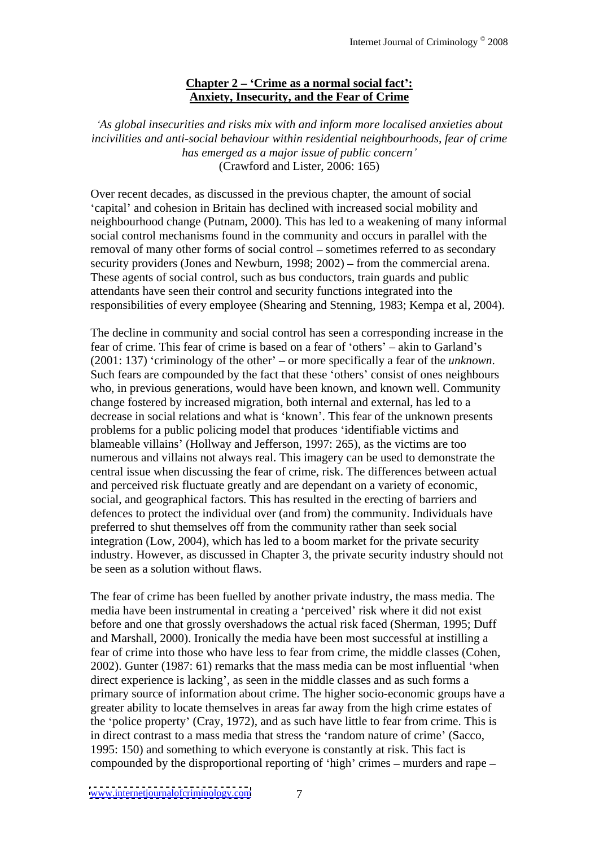### **Chapter 2 Crime as a normal social fact : Anxiety, Insecurity, and the Fear of Crime**

*As global insecurities and risks mix with and inform more localised anxieties about incivilities and anti-social behaviour within residential neighbourhoods, fear of crime has emerged as a major issue of public concern* (Crawford and Lister, 2006: 165)

Over recent decades, as discussed in the previous chapter, the amount of social 'capital' and cohesion in Britain has declined with increased social mobility and neighbourhood change (Putnam, 2000). This has led to a weakening of many informal social control mechanisms found in the community and occurs in parallel with the removal of many other forms of social control – sometimes referred to as secondary security providers (Jones and Newburn, 1998;  $2002$ ) – from the commercial arena. These agents of social control, such as bus conductors, train guards and public attendants have seen their control and security functions integrated into the responsibilities of every employee (Shearing and Stenning, 1983; Kempa et al, 2004).

The decline in community and social control has seen a corresponding increase in the fear of crime. This fear of crime is based on a fear of 'others'  $-$  akin to Garland's (2001: 137) 'criminology of the other'  $-$  or more specifically a fear of the *unknown*. Such fears are compounded by the fact that these 'others' consist of ones neighbours who, in previous generations, would have been known, and known well. Community change fostered by increased migration, both internal and external, has led to a decrease in social relations and what is 'known'. This fear of the unknown presents problems for a public policing model that produces identifiable victims and blameable villains' (Hollway and Jefferson, 1997: 265), as the victims are too numerous and villains not always real. This imagery can be used to demonstrate the central issue when discussing the fear of crime, risk. The differences between actual and perceived risk fluctuate greatly and are dependant on a variety of economic, social, and geographical factors. This has resulted in the erecting of barriers and defences to protect the individual over (and from) the community. Individuals have preferred to shut themselves off from the community rather than seek social integration (Low, 2004), which has led to a boom market for the private security industry. However, as discussed in Chapter 3, the private security industry should not be seen as a solution without flaws.

The fear of crime has been fuelled by another private industry, the mass media. The media have been instrumental in creating a 'perceived' risk where it did not exist before and one that grossly overshadows the actual risk faced (Sherman, 1995; Duff and Marshall, 2000). Ironically the media have been most successful at instilling a fear of crime into those who have less to fear from crime, the middle classes (Cohen,  $2002$ ). Gunter (1987: 61) remarks that the mass media can be most influential 'when direct experience is lacking', as seen in the middle classes and as such forms a primary source of information about crime. The higher socio-economic groups have a greater ability to locate themselves in areas far away from the high crime estates of the 'police property' (Cray, 1972), and as such have little to fear from crime. This is in direct contrast to a mass media that stress the 'random nature of crime' (Sacco, 1995: 150) and something to which everyone is constantly at risk. This fact is compounded by the disproportional reporting of 'high' crimes  $-$  murders and rape  $-$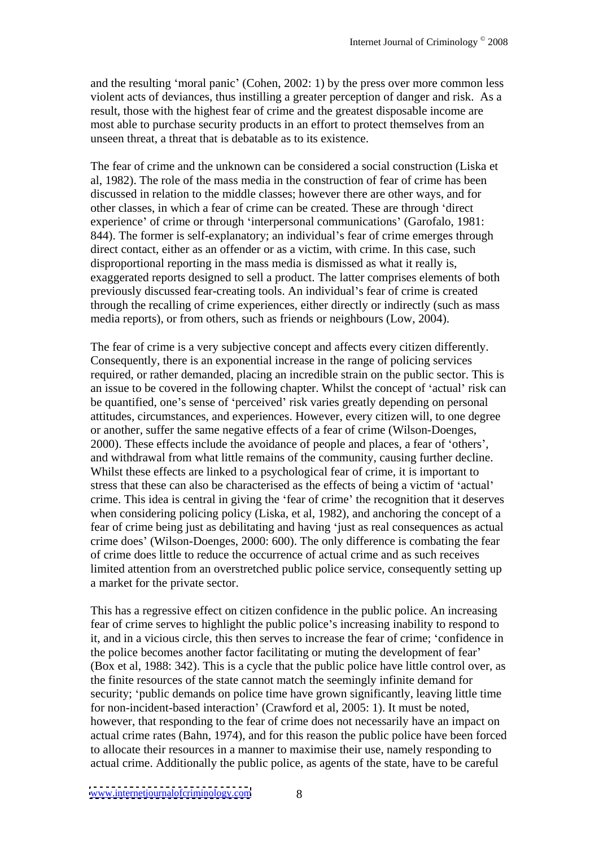and the resulting 'moral panic' (Cohen,  $2002: 1$ ) by the press over more common less violent acts of deviances, thus instilling a greater perception of danger and risk. As a result, those with the highest fear of crime and the greatest disposable income are most able to purchase security products in an effort to protect themselves from an unseen threat, a threat that is debatable as to its existence.

The fear of crime and the unknown can be considered a social construction (Liska et al, 1982). The role of the mass media in the construction of fear of crime has been discussed in relation to the middle classes; however there are other ways, and for other classes, in which a fear of crime can be created. These are through 'direct experience' of crime or through 'interpersonal communications' (Garofalo, 1981: 844). The former is self-explanatory; an individual's fear of crime emerges through direct contact, either as an offender or as a victim, with crime. In this case, such disproportional reporting in the mass media is dismissed as what it really is, exaggerated reports designed to sell a product. The latter comprises elements of both previously discussed fear-creating tools. An individual's fear of crime is created through the recalling of crime experiences, either directly or indirectly (such as mass media reports), or from others, such as friends or neighbours (Low, 2004).

The fear of crime is a very subjective concept and affects every citizen differently. Consequently, there is an exponential increase in the range of policing services required, or rather demanded, placing an incredible strain on the public sector. This is an issue to be covered in the following chapter. Whilst the concept of 'actual' risk can be quantified, one's sense of 'perceived' risk varies greatly depending on personal attitudes, circumstances, and experiences. However, every citizen will, to one degree or another, suffer the same negative effects of a fear of crime (Wilson-Doenges, 2000). These effects include the avoidance of people and places, a fear of 'others', and withdrawal from what little remains of the community, causing further decline. Whilst these effects are linked to a psychological fear of crime, it is important to stress that these can also be characterised as the effects of being a victim of 'actual' crime. This idea is central in giving the 'fear of crime' the recognition that it deserves when considering policing policy (Liska, et al, 1982), and anchoring the concept of a fear of crime being just as debilitating and having 'just as real consequences as actual crime does (Wilson-Doenges, 2000: 600). The only difference is combating the fear of crime does little to reduce the occurrence of actual crime and as such receives limited attention from an overstretched public police service, consequently setting up a market for the private sector.

This has a regressive effect on citizen confidence in the public police. An increasing fear of crime serves to highlight the public police's increasing inability to respond to it, and in a vicious circle, this then serves to increase the fear of crime; confidence in the police becomes another factor facilitating or muting the development of fear (Box et al, 1988: 342). This is a cycle that the public police have little control over, as the finite resources of the state cannot match the seemingly infinite demand for security; 'public demands on police time have grown significantly, leaving little time for non-incident-based interaction' (Crawford et al, 2005: 1). It must be noted, however, that responding to the fear of crime does not necessarily have an impact on actual crime rates (Bahn, 1974), and for this reason the public police have been forced to allocate their resources in a manner to maximise their use, namely responding to actual crime. Additionally the public police, as agents of the state, have to be careful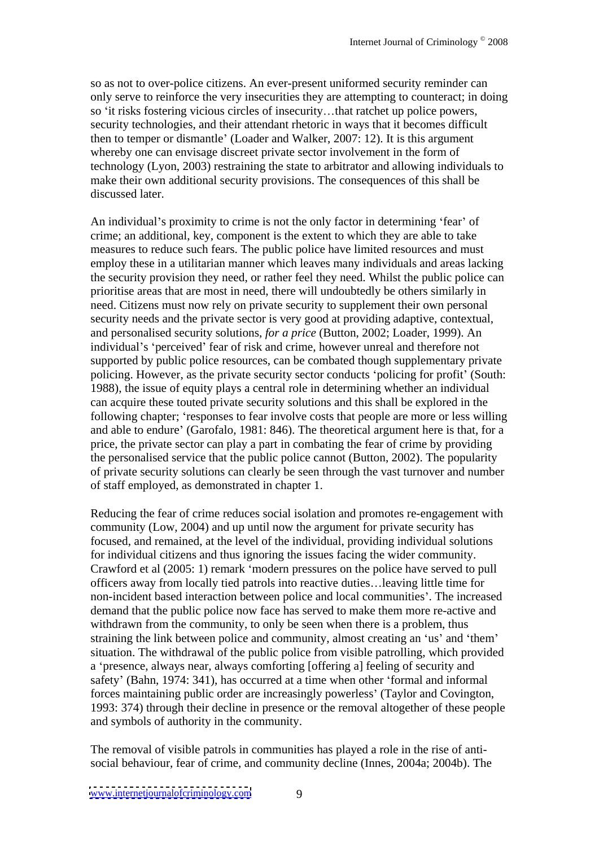so as not to over-police citizens. An ever-present uniformed security reminder can only serve to reinforce the very insecurities they are attempting to counteract; in doing so 'it risks fostering vicious circles of insecurity...that ratchet up police powers, security technologies, and their attendant rhetoric in ways that it becomes difficult then to temper or dismantle' (Loader and Walker, 2007: 12). It is this argument whereby one can envisage discreet private sector involvement in the form of technology (Lyon, 2003) restraining the state to arbitrator and allowing individuals to make their own additional security provisions. The consequences of this shall be discussed later.

An individual's proximity to crime is not the only factor in determining 'fear' of crime; an additional, key, component is the extent to which they are able to take measures to reduce such fears. The public police have limited resources and must employ these in a utilitarian manner which leaves many individuals and areas lacking the security provision they need, or rather feel they need. Whilst the public police can prioritise areas that are most in need, there will undoubtedly be others similarly in need. Citizens must now rely on private security to supplement their own personal security needs and the private sector is very good at providing adaptive, contextual, and personalised security solutions, *for a price* (Button, 2002; Loader, 1999). An individual's 'perceived' fear of risk and crime, however unreal and therefore not supported by public police resources, can be combated though supplementary private policing. However, as the private security sector conducts 'policing for profit' (South: 1988), the issue of equity plays a central role in determining whether an individual can acquire these touted private security solutions and this shall be explored in the following chapter; 'responses to fear involve costs that people are more or less willing and able to endure' (Garofalo, 1981: 846). The theoretical argument here is that, for a price, the private sector can play a part in combating thefear of crime by providing the personalised service that the public police cannot (Button, 2002). The popularity of private security solutions can clearly be seen through the vast turnover and number of staff employed, as demonstrated in chapter 1.

Reducing the fear of crime reduces social isolation and promotes re-engagement with community (Low, 2004) and up until now the argument for private security has focused, and remained, at the level of the individual, providing individual solutions for individual citizens and thus ignoring the issues facing the wider community. Crawford et al (2005: 1) remark 'modern pressures on the police have served to pull officers away from locally tied patrols into reactive duties...leaving little time for non-incident based interaction between police and local communities . The increased demand that the public police now face has served to make them more re-active and withdrawn from the community, to only be seen when there is a problem, thus straining the link between police and community, almost creating an 'us' and 'them' situation. The withdrawal of the public police from visible patrolling, which provided a 'presence, always near, always comforting [offering a] feeling of security and safety' (Bahn, 1974: 341), has occurred at a time when other 'formal and informal forces maintaining public order are increasingly powerless' (Taylor and Covington, 1993: 374) through their decline in presence or the removal altogether of these people and symbols of authority in the community.

The removal of visible patrols in communities has played a role in the rise of anti social behaviour, fear of crime, and community decline (Innes, 2004a; 2004b). The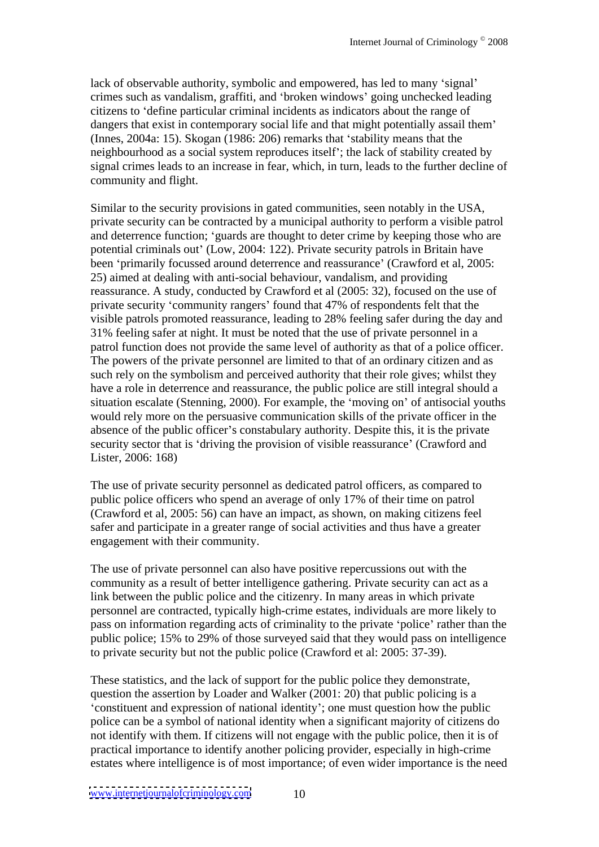lack of observable authority, symbolic and empowered, has led to many 'signal' crimes such as vandalism, graffiti, and 'broken windows' going unchecked leading citizens to 'define particular criminal incidents as indicators about the range of dangers that exist in contemporary social life and that might potentially assail them' (Innes,  $2004a$ : 15). Skogan (1986: 206) remarks that 'stability means that the neighbourhood as a social system reproduces itself ; the lack of stability created by signal crimes leads to an increase in fear, which, in turn, leads to the further decline of community and flight.

Similar to the security provisions in gated communities, seen notably in the USA, private security can be contracted by a municipal authority to perform a visible patrol and deterrence function; 'guards are thought to deter crime by keeping those who are potential criminals out' (Low, 2004: 122). Private security patrols in Britain have been 'primarily focussed around deterrence and reassurance' (Crawford et al, 2005: 25) aimed at dealing with anti-social behaviour, vandalism, and providing reassurance. A study, conducted by Crawford et al (2005: 32), focused on the use of private security 'community rangers' found that 47% of respondents felt that the visible patrols promoted reassurance, leading to 28% feeling safer during the day and 31% feeling safer at night. It must be noted that the use of private personnel in a patrol function does not provide the same level of authority as that of a police officer. The powers of the private personnel are limited to that of an ordinary citizen and as such rely on the symbolism and perceived authority that their rolegives; whilst they have a role in deterrence and reassurance, the public police are still integral should a situation escalate (Stenning, 2000). For example, the 'moving on' of antisocial youths would rely more on the persuasive communication skills of the private officer in the absence of the public officer's constabulary authority. Despite this, it is the private security sector that is 'driving the provision of visible reassurance' (Crawford and Lister, 2006: 168)

The use of private security personnel as dedicated patrol officers, as compared to public police officers who spend an average of only 17% of their time on patrol (Crawford et al, 2005: 56) can have an impact, as shown, on making citizens feel safer and participate in a greater range of social activities and thus have a greater engagement with their community.

The use of private personnel can also have positive repercussions out with the community as a result of better intelligence gathering. Private security can act as a link between the public police and the citizenry. In many areas in which private personnel are contracted, typically high-crime estates, individuals are more likely to pass on information regarding acts of criminality to the private 'police' rather than the public police; 15% to 29% of those surveyed said that they would pass on intelligence to private security but not the public police (Crawford et al: 2005: 37-39).

These statistics, and the lack of support for the public police they demonstrate, question the assertion by Loader and Walker (2001: 20) that public policing is a constituent and expression of national identity ; one must question how the public police can be a symbol of national identity when a significant majority of citizens do not identify with them. If citizens will not engage with the public police, then it is of practical importance to identify another policing provider, especially in high-crime estates where intelligence is of most importance; of even wider importance is the need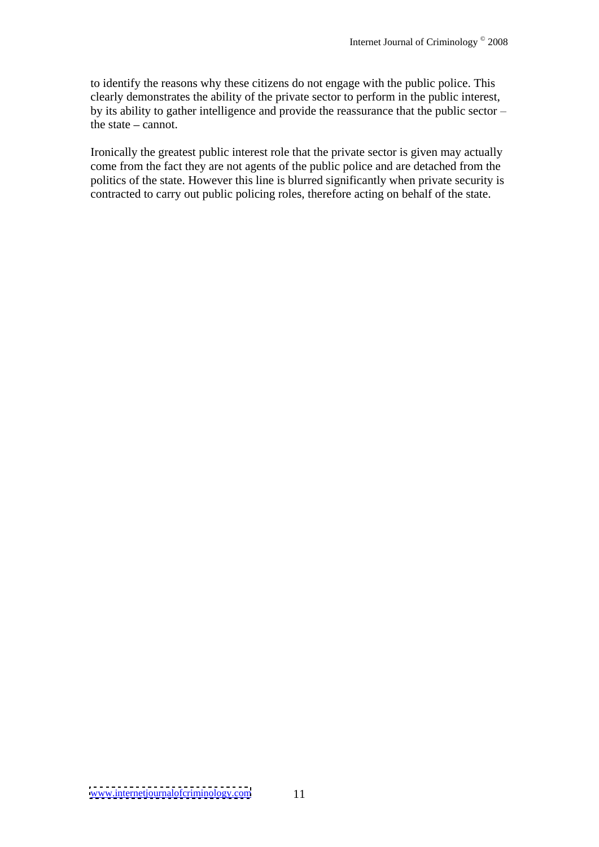to identify the reasons why these citizens do not engage with the public police. This clearly demonstrates the ability of the private sector to perform in the public interest, by its ability to gather intelligence and provide the reassurance that the public sector  $\theta$  the state  $-\text{cannot}$ .

Ironically the greatest public interest role that the private sector is given may actually come from the fact they are not agents of the public police and are detached from the politics of the state. However this line is blurred significantly when private security is contracted to carry out public policing roles, therefore acting on behalf of the state.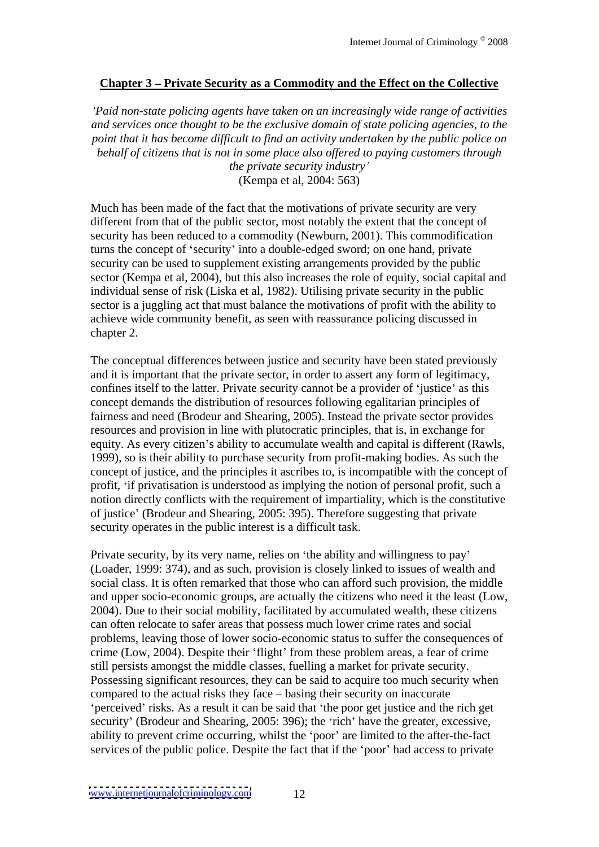## **Chapter 3 Private Security as a Commodity and the Effect on the Collective**

*Paid non-state policing agents have taken on an increasingly wide range of activities and services once thought to be the exclusive domain of state policing agencies, to the point that it has become dif icult to find an activity undertaken by the public police on behalf of citizens that is not in some place also of ered to paying customers through*

*the private security industry* (Kempa et al, 2004: 563)

Much has been made of the fact that the motivations of private security are very different from that of the public sector, most notably the extent that the concept of security has been reduced to a commodity (Newburn, 2001). This commodification turns the concept of 'security' into a double-edged sword; on one hand, private security can be used to supplement existing arrangements provided by the public sector (Kempa et al, 2004), but this also increases the role of equity, social capital and individual sense of risk (Liska et al, 1982). Utilising private security in the public sector is a juggling act that must balance the motivations of profit with the ability to achieve wide community benefit, as seen with reassurance policing discussed in chapter 2.

The conceptual differences between justice and security have been stated previously and it is important that the private sector, in order to assert any form of legitimacy, confines itself to the latter. Private security cannot be a provider of 'justice' as this concept demands the distribution of resources following egalitarian principles of fairness and need (Brodeur and Shearing, 2005). Instead the private sector provides resources and provision in line with plutocratic principles, that is, in exchange for equity. As every citizen's ability to accumulate wealth and capital is different (Rawls, 1999), so is their ability to purchase security from profit-making bodies. As such the concept of justice, and the principles it ascribes to, is incompatible with the concept of profit, if privatisation is understood as implying the notion of personal profit, such a notion directly conflicts with the requirement of impartiality, which is the constitutive of justice (Brodeur and Shearing, 2005: 395). Therefore suggesting that private security operates in the public interest is a difficult task.

Private security, by its very name, relies on 'the ability and willingness to pay' (Loader, 1999: 374), and as such, provision is closely linked to issues of wealth and social class. It is often remarked that those who can afford such provision, the middle and upper socio-economic groups, are actually the citizens who need it the least (Low, 2004). Due to their social mobility, facilitated by accumulated wealth, these citizens can often relocate to safer areas that possess much lower crime rates and social problems, leaving those of lower socio-economic status to suffer the consequences of crime (Low, 2004). Despite their 'flight' from these problem areas, a fear of crime still persists amongst the middle classes, fuelling a market for private security. Possessing significant resources, they can be said to acquire too much security when compared to the actual risks they face  $-$  basing their security on inaccurate perceived' risks. As a result it can be said that 'the poor get justice and the rich get security' (Brodeur and Shearing, 2005: 396); the 'rich' have the greater, excessive, ability to prevent crime occurring, whilst the 'poor' are limited to the after-the-fact services of the public police. Despite the fact that if the 'poor' had access to private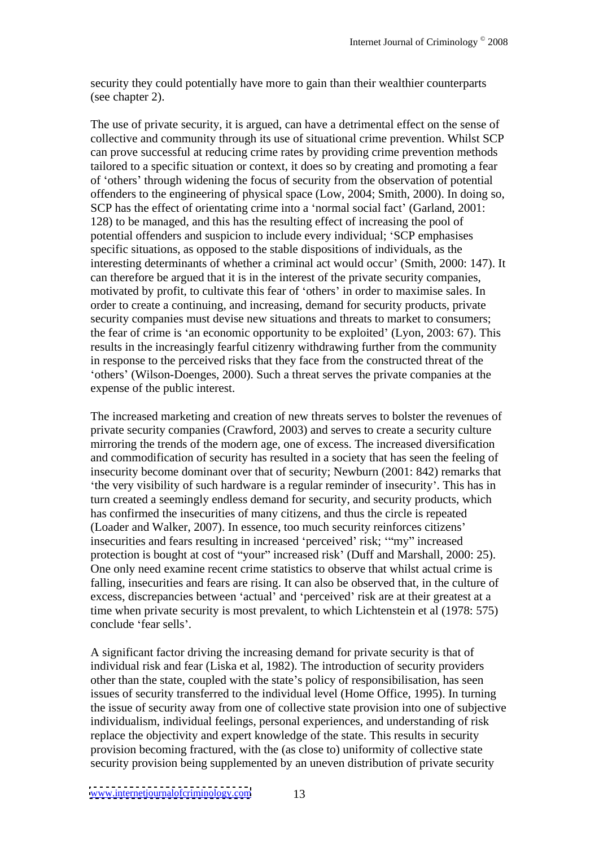security they could potentially have more to gain than their wealthier counterparts (see chapter 2).

The use of private security, it is argued, can have a detrimental effect on the sense of collective and community through its use of situational crime prevention. Whilst SCP can prove successful at reducing crime rates by providing crime prevention methods tailored to a specific situation or context, it does so by creating and promoting a fear of 'others' through widening the focus of security from the observation of potential offenders to the engineering of physical space (Low, 2004; Smith, 2000). In doing so, SCP has the effect of orientating crime into a 'normal social fact' (Garland, 2001: 128) to be managed, and this has the resulting effect of increasing the pool of potential offenders and suspicion to include every individual; 'SCP emphasises specific situations, as opposed to the stable dispositions of individuals, as the interesting determinants of whether a criminal act would occur' (Smith, 2000: 147). It can therefore be argued that it is in the interest of the private security companies, motivated by profit, to cultivate this fear of 'others' in order to maximise sales. In order to create a continuing, and increasing, demand for security products, private security companies must devise new situations and threats to market to consumers; the fear of crime is 'an economic opportunity to be exploited' (Lyon, 2003: 67). This results in the increasingly fearful citizenry withdrawing further from the community in response to the perceived risks that they face from the constructed threat of the others (Wilson-Doenges, 2000). Such a threat serves the private companies at the expense of the public interest.

The increased marketing and creation of new threats serves to bolster the revenues of private security companies (Crawford, 2003) and serves to create a security culture mirroring the trends of the modern age, one of excess. The increased diversification and commodification of security has resulted in a society that has seen the feeling of insecurity become dominant over that of security; Newburn (2001: 842) remarks that the very visibility of such hardware is a regular reminder of insecurity . This has in turn created a seemingly endless demand for security, and security products, which has confirmed the insecurities of many citizens, and thus the circle is repeated (Loader and Walker, 2007). In essence, too much security reinforces citizens insecurities and fears resulting in increased 'perceived' risk; "my" increased protection is bought at cost of "your" increased risk' (Duff and Marshall, 2000: 25). One only need examine recent crime statistics to observe that whilst actual crime is falling, insecurities and fears are rising. It can also be observed that, in the culture of excess, discrepancies between 'actual' and 'perceived' risk are at their greatest at a time when private security is most prevalent, to which Lichtenstein et al (1978: 575) conclude 'fear sells'.

A significant factor driving the increasing demand for private security is that of individual risk and fear (Liska et al, 1982). The introduction of security providers other than the state, coupled with the state's policy of responsibilisation, has seen issues of security transferred to the individual level (Home Office, 1995). In turning the issue of security away from one of collective state provision into one of subjective individualism, individual feelings, personal experiences, and understanding of risk replace the objectivity and expert knowledge of the state. This results in security provision becoming fractured, with the (as close to) uniformity of collective state security provision being supplemented by an uneven distribution of private security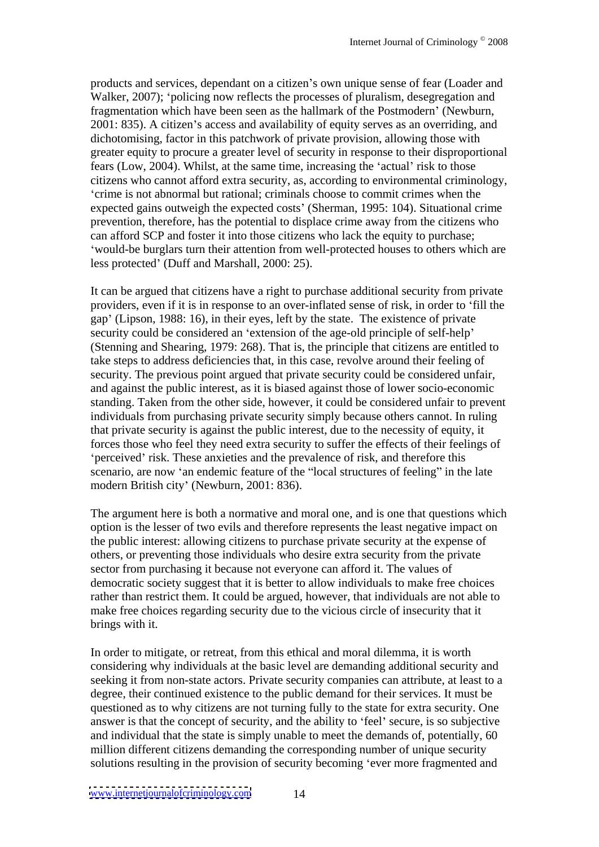products and services, dependant on a citizen's own unique sense of fear (Loader and Walker, 2007); 'policing now reflects the processes of pluralism, desegregation and fragmentation which have been seen as the hallmark of the Postmodern' (Newburn,  $2001: 835$ ). A citizen's access and availability of equity serves as an overriding, and dichotomising, factor in this patchwork of private provision, allowing those with greater equity to procure a greater level of security in response to their disproportional fears (Low, 2004). Whilst, at the same time, increasing the 'actual' risk to those citizens who cannot afford extra security, as, according to environmental criminology, crime is not abnormal but rational; criminals choose to commit crimes when the expected gains outweigh the expected costs' (Sherman, 1995: 104). Situational crime prevention, therefore, has the potential to displace crime away from the citizenswho can afford SCP and foster it into those citizens who lack the equity to purchase; would-be burglars turn their attention from well-protected houses to others which are less protected' (Duff and Marshall, 2000: 25).

It can be argued that citizens have a right to purchase additional security from private providers, even if it is in response to an over-inflated sense of risk, in order to 'fill the gap (Lipson, 1988: 16), in their eyes, left by the state. The existence of private security could be considered an 'extension of the age-old principle of self-help' (Stenning and Shearing, 1979: 268). That is, the principle that citizens are entitled to take steps to address deficiencies that, in this case, revolve around their feeling of security. The previous point argued that private security could be considered unfair, and against the public interest, as it is biased against those of lower socio-economic standing. Taken from the other side, however, it could be considered unfair to prevent individuals from purchasing private security simply because others cannot. In ruling that private security is against the public interest, due to the necessity of equity, it forces those who feel they need extra security to suffer the effects of their feelings of 'perceived' risk. These anxieties and the prevalence of risk, and therefore this scenario, are now 'an endemic feature of the "local structures of feeling" in the late modern British city' (Newburn, 2001: 836).

The argument here is both a normative and moral one, and is one that questions which option is the lesser of two evils and therefore represents the least negative impact on the public interest: allowing citizens to purchase private security at the expense of others, or preventing those individuals who desire extra security from the private sector from purchasing it because not everyone can afford it. The values of democratic society suggest that it is better to allow individuals to make free choices rather than restrict them. It could be argued, however, that individuals are not able to make free choices regarding security due to the vicious circle of insecurity that it brings with it.

In order to mitigate, or retreat, from this ethical and moral dilemma, it is worth considering why individuals at the basic level are demanding additional security and seeking it from non-state actors. Private security companies can attribute, at least to a degree, their continued existence to the public demand for their services. It must be questioned as to why citizens are not turning fully to the state for extra security. One answer is that the concept of security, and the ability to 'feel' secure, is so subjective and individual that the state is simply unable to meet the demands of, potentially, 60 million different citizens demanding the corresponding number of unique security solutions resulting in the provision of security becoming 'ever more fragmented and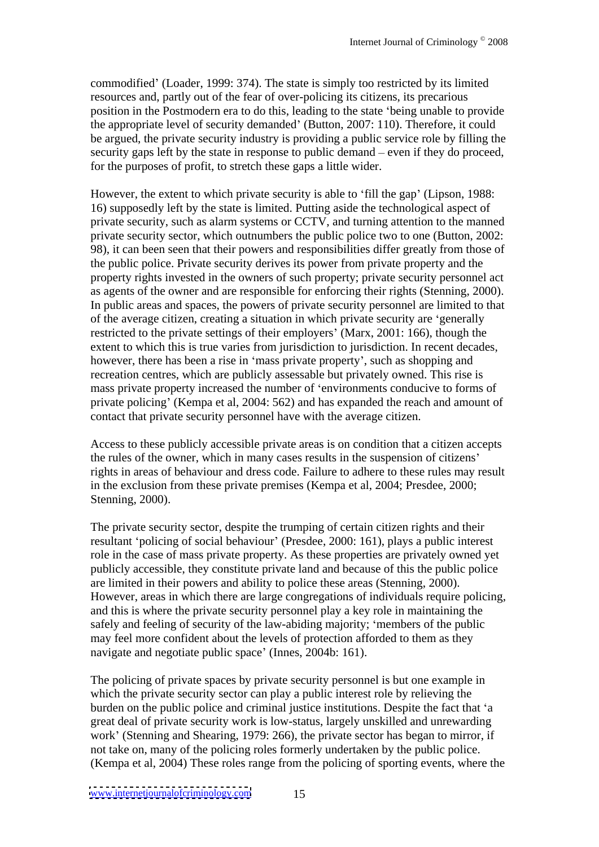commodified' (Loader, 1999: 374). The state is simply too restricted by its limited resources and, partly out of the fear of over-policing its citizens, its precarious position in the Postmodern era to do this, leading to the state 'being unable to provide the appropriate level of security demanded' (Button, 2007: 110). Therefore, it could be argued, the private security industry is providing a public service role by filling the security gaps left by the state in response to public demand  $-$  even if they do proceed. for the purposes of profit, to stretch these gaps a little wider.

However, the extent to which private security is able to 'fill the gap' (Lipson, 1988: 16) supposedly left by the state is limited. Putting aside the technological aspect of private security, such as alarm systems or CCTV, and turning attention to the manned private security sector, which outnumbers the public police two to one (Button, 2002: 98), it can been seen that their powers and responsibilities differ greatly from those of the public police. Private security derives its power from private property and the property rights invested in the owners of such property; private security personnel act as agents of the owner and are responsible for enforcing their rights (Stenning, 2000). In public areas and spaces, the powers of private security personnel are limited to that of the average citizen, creating a situation in which private security are 'generally restricted to the private settings of their employers' (Marx, 2001: 166), though the extent to which this is true varies from jurisdiction to jurisdiction. In recent decades, however, there has been a rise in 'mass private property', such as shopping and recreation centres, which are publicly assessable but privately owned. This rise is mass private property increased the number of 'environments conducive to forms of private policing' (Kempa et al, 2004: 562) and has expanded the reach and amount of contact that private security personnel have with the average citizen.

Access to these publicly accessible private areas is on condition that a citizen accepts the rules of the owner, which in many cases results in the suspension of citizens rights in areas of behaviour and dress code. Failure to adhere to these rules may result in the exclusion from these private premises (Kempa et al, 2004; Presdee, 2000; Stenning, 2000).

The private security sector, despite the trumping of certain citizen rights and their resultant 'policing of social behaviour' (Presdee, 2000: 161), plays a public interest role in the case of mass private property. As these properties are privately owned yet publicly accessible, they constitute private land and because of this the public police are limited in their powers and ability to police these areas (Stenning, 2000). However, areas in which there are large congregations of individuals require policing, and this is where the private security personnel play a key role in maintaining the safely and feeling of security of the law-abiding majority; members of the public may feel more confident about the levels of protection afforded to them as they navigate and negotiate public space' (Innes, 2004b: 161).

The policing of private spaces by private security personnel is but one example in which the private security sector can play a public interest role by relieving the burden on the public police and criminal justice institutions. Despite the fact that 'a great deal of private security work is low-status, largely unskilled and unrewarding work' (Stenning and Shearing, 1979: 266), the private sector has began to mirror, if not take on, many of the policing roles formerly undertaken by the public police. (Kempa et al, 2004) These roles range from the policing of sporting events, where the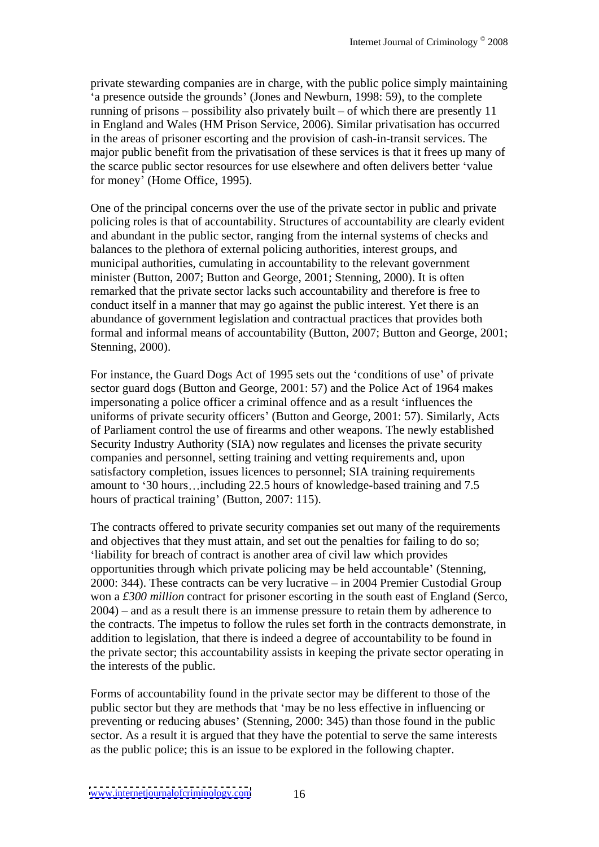private stewarding companies are in charge, with the public police simply maintaining a presence outside the grounds (Jones and Newburn, 1998: 59), to the complete running of prisons  $-$  possibility also privately built  $-$  of which there are presently 11 in England and Wales (HM Prison Service, 2006). Similar privatisation has occurred in the areas of prisoner escorting and the provision of cash-in-transit services. The major public benefit from the privatisation of these services is that it frees up many of the scarce public sector resources for use elsewhere and often delivers better 'value for money' (Home Office, 1995).

One of the principal concerns over the use of the private sector in public and private policing roles is that of accountability. Structures of accountability are clearly evident and abundant in the public sector, ranging from the internal systems of checks and balances to the plethora of external policing authorities, interest groups, and municipal authorities, cumulating in accountability to the relevant government minister (Button, 2007; Button and George, 2001; Stenning, 2000). It is often remarked that the private sector lacks such accountability and therefore is free to conduct itself in a manner that may go against the public interest. Yet there is an abundance of government legislation and contractual practices that provides both formal and informal means of accountability (Button, 2007; Button and George, 2001; Stenning, 2000).

For instance, the Guard Dogs Act of 1995 sets out the 'conditions of use' of private sector guard dogs (Button and George, 2001: 57) and the Police Act of 1964 makes impersonating a police officer a criminal offence and as a result 'influences the uniforms of private security officers' (Button and George, 2001: 57). Similarly, Acts of Parliament control the use of firearms and other weapons. The newly established Security Industry Authority (SIA) now regulates and licenses the private security companies and personnel, setting training and vetting requirements and, upon satisfactory completion, issues licences to personnel; SIA training requirements amount to '30 hours...including 22.5 hours of knowledge-based training and 7.5 hours of practical training' (Button, 2007: 115).

The contracts offered to private security companies set out many of the requirements and objectives that they must attain, and set out the penalties for failing to do so; liability for breach of contract is another area of civil law which provides opportunities through which private policing may be held accountable (Stenning, 2000: 344). These contracts can be very lucrative  $-$  in 2004 Premier Custodial Group won a *£300 million* contract for prisoner escorting in the south east of England (Serco,  $2004$ ) – and as a result there is an immense pressure to retain them by adherence to the contracts. The impetus to follow the rules set forth in the contracts demonstrate, in addition to legislation, that there is indeed a degree of accountability to be found in the private sector; this accountability assists in keeping the private sector operating in the interests of the public.

Forms of accountability found in the private sector may be different to those of the public sector but they are methods that 'may be no less effective in influencing or preventing or reducing abuses (Stenning, 2000: 345) than those found in the public sector. As a result it is argued that they have the potential to serve the same interests as the public police; this is an issue to be explored in the following chapter.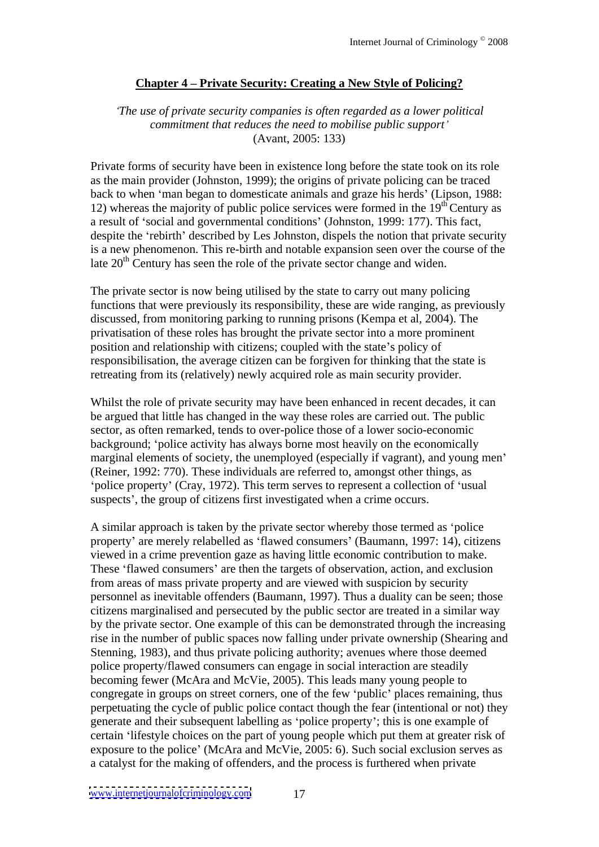# **Chapter 4 Private Security: Creating a New Style of Policing?**

### *The use of private security companies is often regarded as a lower political commitment that reduces the need to mobilise public support* (Avant, 2005: 133)

Private forms of security have been in existence long before the state took on its role as the main provider (Johnston, 1999); the origins of private policing can be traced back to when 'man began to domesticate animals and graze his herds' (Lipson, 1988: 12) whereas the majority of public police services were formed in the  $19<sup>th</sup>$  Century as  $\text{th}^{\text{th}}$  Century as a result of 'social and governmental conditions' (Johnston, 1999: 177). This fact, despite the 'rebirth' described by Les Johnston, dispels the notion that private security is a new phenomenon. This re-birth and notable expansion seen over the course of the late  $20<sup>th</sup>$  Century has seen the role of the private sector change and widen.

The private sector is now being utilised by the state to carry out many policing functions that were previously its responsibility, these are wide ranging, as previously discussed, from monitoring parking to running prisons (Kempa et al, 2004). The privatisation of these roles has brought the private sector into a more prominent position and relationship with citizens; coupled with the state's policy of responsibilisation, the average citizen can be forgiven for thinking that the state is retreating from its (relatively) newly acquired role as main security provider.

Whilst the role of private security may have been enhanced in recent decades, it can be argued that little has changed in the way these roles are carried out. The public sector, as often remarked, tends to over-police those of a lower socio-economic background; 'police activity has always borne most heavily on the economically marginal elements of society, the unemployed (especially if vagrant), and young men (Reiner, 1992: 770). These individuals are referred to, amongst other things, as 'police property' (Cray, 1972). This term serves to represent a collection of 'usual suspects', the group of citizens first investigated when a crime occurs.

A similar approach is taken by the private sector whereby those termed as 'police property' are merely relabelled as 'flawed consumers' (Baumann, 1997: 14), citizens viewed in a crime prevention gaze as having little economic contribution to make. These 'flawed consumers' are then the targets of observation, action, and exclusion from areas of mass private property and are viewed with suspicion by security personnel as inevitable offenders (Baumann, 1997). Thus a duality can be seen; those citizens marginalised and persecuted by the public sector are treated in a similar way by the private sector. One example of this can be demonstrated through the increasing rise in the number of public spaces now falling under private ownership (Shearing and Stenning, 1983), and thus private policing authority; avenues where those deemed police property/flawed consumers can engage in social interaction are steadily becoming fewer (McAra and McVie, 2005). This leads many young people to congregate in groups on street corners, one of the few 'public' places remaining, thus perpetuating the cycle of public police contact though the fear (intentional or not) they generate and their subsequent labelling as 'police property'; this is one example of certain 'lifestyle choices on the part of young people which put them at greater risk of exposure to the police' (McAra and McVie, 2005: 6). Such social exclusion serves as a catalyst for the making of offenders, and the process is furthered when private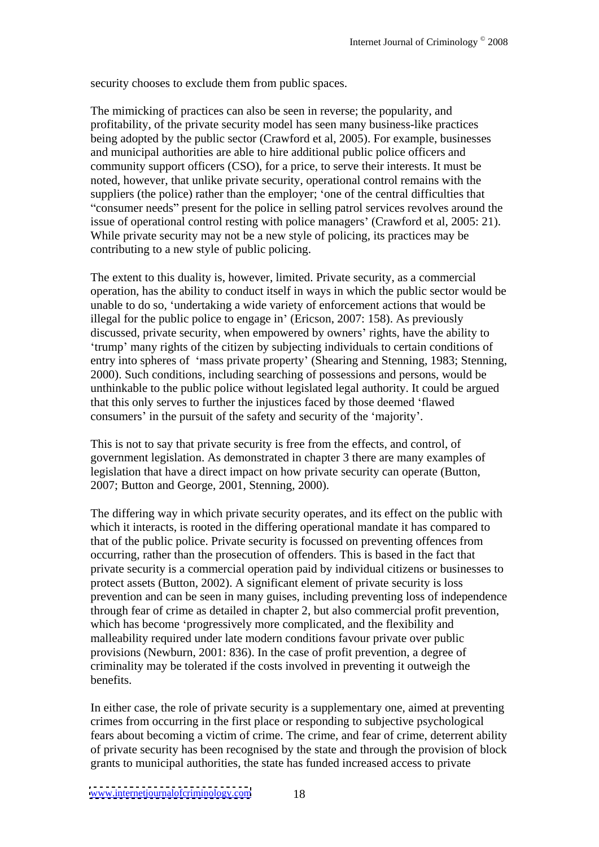security chooses to exclude them from public spaces.

The mimicking of practices can also be seen in reverse; the popularity, and profitability, of the private security model has seen many business-like practices being adopted by the public sector (Crawford et al, 2005). For example, businesses and municipal authorities are able to hire additional public police officers and community support officers (CSO), for a price, to serve their interests. It must be noted, however, that unlike private security, operational control remains with the suppliers (the police) rather than the employer; 'one of the central difficulties that "consumer needs" present for the police in selling patrol services revolves around the issue of operational control resting with police managers' (Crawford et al, 2005: 21). While private security may not be a new style of policing, its practices may be contributing to a new style of public policing.

The extent to this duality is, however, limited. Private security, as a commercial operation, has the ability to conduct itself in ways in which the public sector would be unable to do so, undertaking a wide variety of enforcement actions that would be illegal for the public police to engage in' (Ericson, 2007: 158). As previously discussed, private security, when empowered by owners' rights, have the ability to trump' many rights of the citizen by subjecting individuals to certain conditions of entry into spheres of 'mass private property' (Shearing and Stenning, 1983; Stenning, 2000). Such conditions, including searching of possessions and persons, would be unthinkable to the public police without legislated legal authority. It could be argued that this only serves to further the injustices faced by those deemed 'flawed consumers' in the pursuit of the safety and security of the 'majority'.

This is not to say that private security is free from the effects, and control, of government legislation. As demonstrated in chapter 3 there are many examples of legislation that have a direct impact on how private security can operate (Button, 2007; Button and George, 2001, Stenning, 2000).

The differing way in which private security operates, and its effect on the public with which it interacts, is rooted in the differing operational mandate it has compared to that of the public police. Private security is focussed on preventing offences from occurring, rather than the prosecution of offenders. This is based in the fact that private security is a commercial operation paid by individual citizens or businesses to protect assets (Button, 2002). A significant element of private security is loss prevention and can be seen in many guises, including preventing loss of independence through fear of crime as detailed in chapter 2, but also commercial profit prevention, which has become 'progressively more complicated, and the flexibility and malleability required under late modern conditions favour private over public provisions (Newburn, 2001: 836). In the case of profit prevention, a degree of criminality may be tolerated if the costs involved in preventing it outweigh the benefits.

In either case, the role of private security is a supplementary one, aimed at preventing crimes from occurring in the first place or responding to subjective psychological fears about becoming a victim of crime. The crime, and fear of crime, deterrent ability of private security has been recognised by the state and through the provision of block grants to municipal authorities, the state has funded increased access to private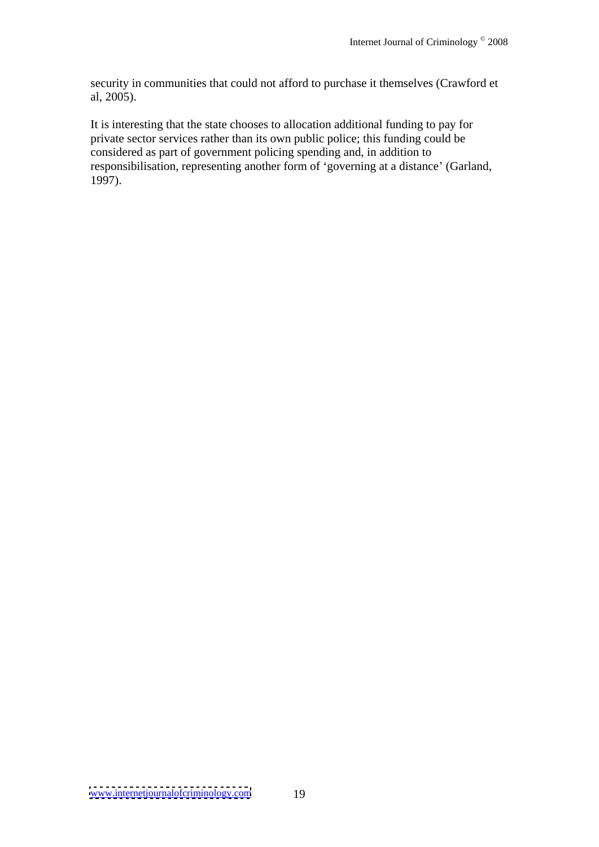security in communities that could not afford to purchase it themselves (Crawford et al, 2005).

It is interesting that the state chooses to allocation additional funding to pay for private sector services rather than its own public police; this funding could be considered as part of government policing spending and, in addition to responsibilisation, representing another form of 'governing at a distance' (Garland, 1997).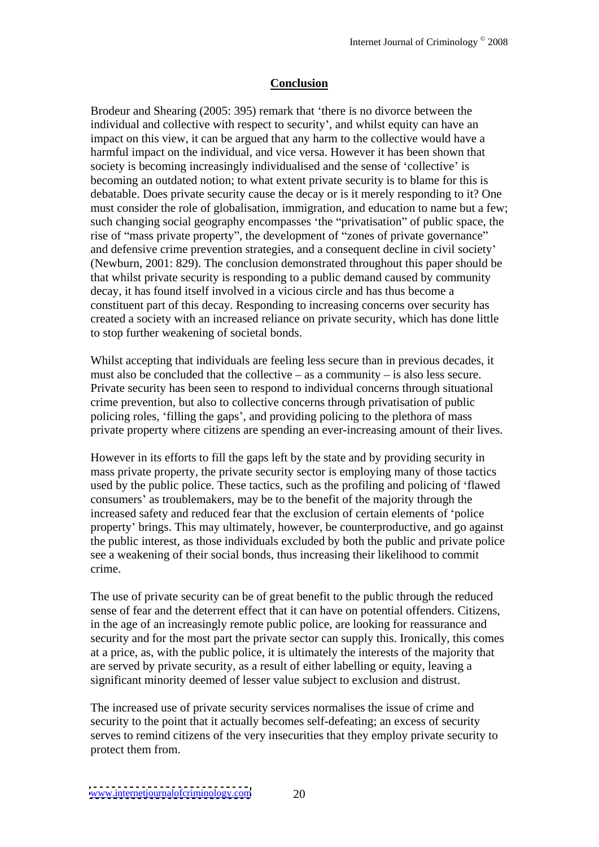### **Conclusion**

Brodeur and Shearing (2005: 395) remark that 'there is no divorce between the individual and collective with respect to security', and whilst equity can have an impact on this view, it can be argued that any harm to the collective would have a harmful impact on the individual, and vice versa. However it has been shown that society is becoming increasingly individualised and the sense of 'collective' is becoming an outdated notion; to what extent private security is to blame for this is debatable. Does private security cause the decay or is it merely responding to it? One must consider the role of globalisation, immigration, and education to name but a few; such changing social geography encompasses 'the "privatisation" of public space, the rise of "mass private property", the development of "zones of private governance" and defensive crime prevention strategies, and a consequent decline in civil society (Newburn, 2001: 829). The conclusion demonstrated throughout this paper should be that whilst private security is responding to a public demand caused by community decay, it has found itself involved in a vicious circle and has thus become a constituent part of this decay. Responding to increasing concerns over security has created a society with an increased reliance on private security, which has done little to stop further weakening of societal bonds.

Whilst accepting that individuals are feeling less secure than in previous decades, it must also be concluded that the collective  $-\text{as a community} - \text{is also less secure.}$ Private security has been seen to respond to individual concerns through situational crime prevention, but also to collective concerns through privatisation of public policing roles, 'filling the gaps', and providing policing to the plethora of mass private property where citizens are spending an ever-increasing amount of their lives.

However in its efforts to fill the gaps left by the state and by providing security in mass private property, the private security sector is employing many of those tactics used by the public police. These tactics, such as the profiling and policing of flawed consumers' as troublemakers, may be to the benefit of the majority through the increased safety and reduced fear that the exclusion of certain elements of 'police property brings. This may ultimately, however, be counterproductive, and go against the public interest, as those individuals excluded by both the public and private police see a weakening of their social bonds, thus increasing their likelihood to commit crime.

The use of private security can be of great benefit to the public through the reduced sense of fear and the deterrent effect that it can have on potential offenders. Citizens, in the age of an increasingly remote public police, are looking for reassurance and security and for the most part the private sector can supply this. Ironically, this comes at a price, as, with the public police, it is ultimately the interests of the majority that are served by private security, as a result of either labelling or equity, leaving a significant minority deemed of lesser value subject to exclusion and distrust.

The increased use of private security services normalises the issue of crime and security to the point that it actually becomes self-defeating; an excess of security serves to remind citizens of the very insecurities that they employ private security to protect them from.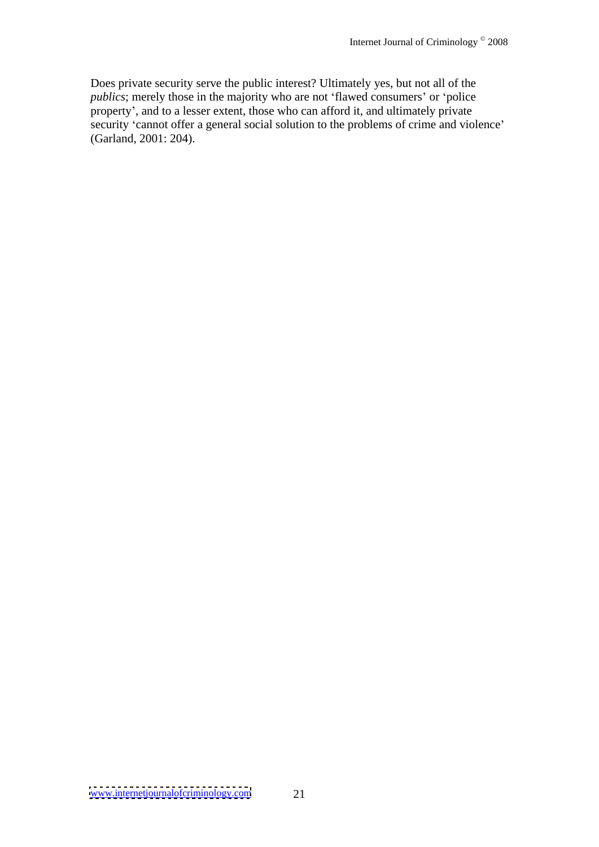Does private security serve the public interest? Ultimately yes, but not all of the *publics*; merely those in the majority who are not 'flawed consumers' or 'police property , and to a lesser extent, those who can afford it, and ultimately private security 'cannot offer a general social solution to the problems of crime and violence' (Garland, 2001: 204).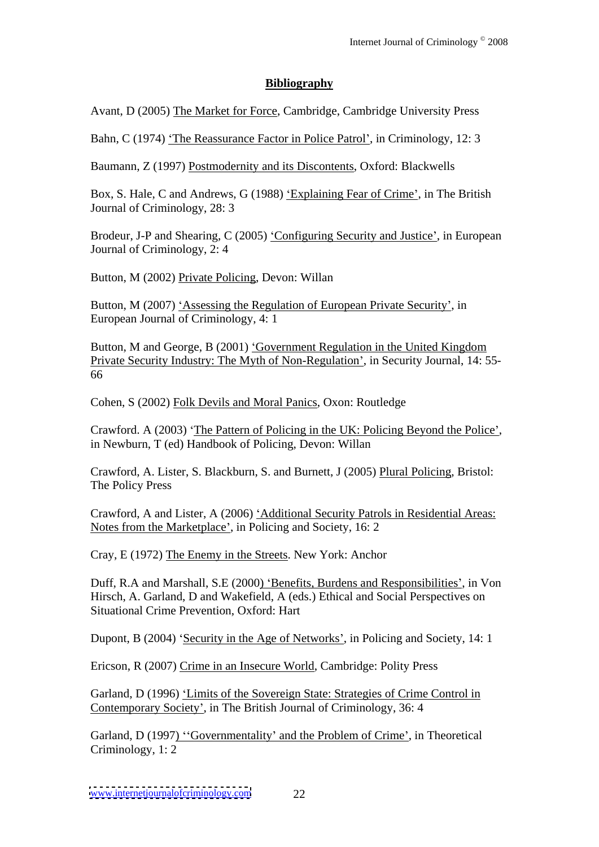# **Bibliography**

Avant, D (2005) The Market for Force, Cambridge, Cambridge University Press

Bahn, C (1974) 'The Reassurance Factor in Police Patrol', in Criminology, 12: 3

Baumann, Z (1997) Postmodernity and its Discontents, Oxford: Blackwells

Box, S. Hale, C and Andrews, G (1988) 'Explaining Fear of Crime', in The British Journal of Criminology, 28: 3

Brodeur, J-P and Shearing, C (2005) 'Configuring Security and Justice', in European Journal of Criminology, 2: 4

Button, M (2002) Private Policing, Devon: Willan

Button, M (2007) 'Assessing the Regulation of European Private Security', in European Journal of Criminology, 4: 1

Button, M and George, B (2001) 'Government Regulation in the United Kingdom Private Security Industry: The Myth of Non-Regulation , in Security Journal, 14: 55- 66

Cohen, S (2002) Folk Devils and Moral Panics, Oxon: Routledge

Crawford. A (2003) 'The Pattern of Policing in the UK: Policing Beyond the Police', in Newburn, T (ed) Handbook of Policing, Devon: Willan

Crawford, A. Lister, S. Blackburn, S. and Burnett, J (2005) Plural Policing, Bristol: The Policy Press

Crawford, A and Lister, A (2006) 'Additional Security Patrols in Residential Areas: Notes from the Marketplace , in Policing and Society, 16: 2

Cray, E (1972) The Enemy in the Streets. New York: Anchor

Duff, R.A and Marshall, S.E (2000) 'Benefits, Burdens and Responsibilities', in Von Hirsch, A. Garland, D and Wakefield, A (eds.) Ethical and Social Perspectives on Situational Crime Prevention, Oxford: Hart

Dupont, B (2004) 'Security in the Age of Networks', in Policing and Society, 14: 1

Ericson, R (2007) Crime in an Insecure World, Cambridge: Polity Press

Garland, D (1996) 'Limits of the Sovereign State: Strategies of Crime Control in Contemporary Society', in The British Journal of Criminology, 36: 4

Garland, D (1997) "Governmentality' and the Problem of Crime', in Theoretical Criminology, 1: 2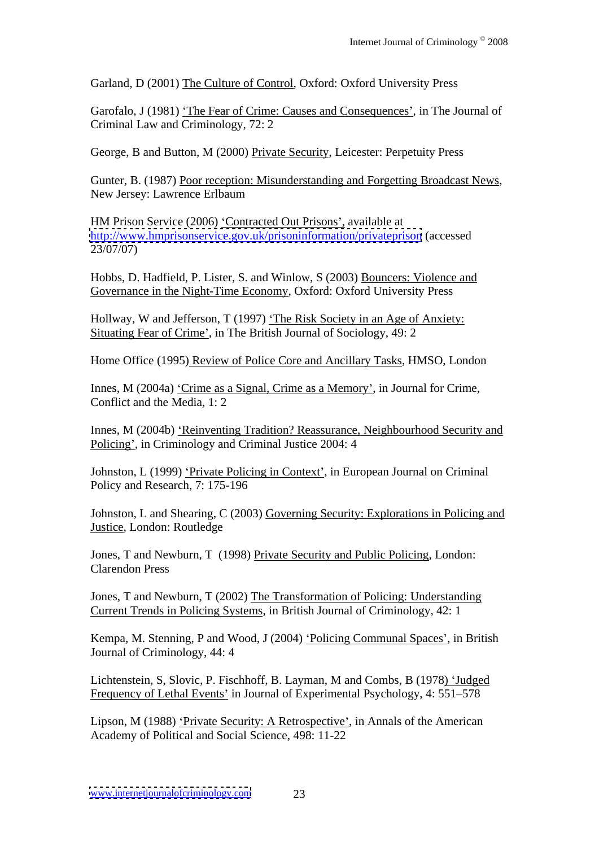Garland, D (2001) The Culture of Control, Oxford: Oxford University Press

Garofalo, J (1981) 'The Fear of Crime: Causes and Consequences', in The Journal of Criminal Law and Criminology, 72: 2

George, B and Button, M (2000) Private Security, Leicester: Perpetuity Press

Gunter, B. (1987) Poor reception: Misunderstanding and Forgetting Broadcast News, New Jersey: Lawrence Erlbaum

HM Prison Service (2006) Contracted Out Prisons , available at <http://www.hmprisonservice.gov.uk/prisoninformation/privateprison> (accessed 23/07/07)

Hobbs, D. Hadfield, P. Lister, S. and Winlow, S (2003) Bouncers: Violence and Governance in the Night-Time Economy, Oxford: Oxford University Press

Hollway, W and Jefferson, T (1997) 'The Risk Society in an Age of Anxiety: Situating Fear of Crime', in The British Journal of Sociology, 49: 2

Home Office (1995) Review of Police Core and Ancillary Tasks, HMSO, London

Innes, M (2004a) 'Crime as a Signal, Crime as a Memory', in Journal for Crime, Conflict and the Media, 1: 2

Innes, M (2004b) 'Reinventing Tradition? Reassurance, Neighbourhood Security and Policing', in Criminology and Criminal Justice 2004: 4

Johnston, L (1999) Private Policing in Context , in European Journal on Criminal Policy and Research, 7: 175-196

Johnston, L and Shearing, C (2003) Governing Security: Explorations in Policing and Justice, London: Routledge

Jones, T and Newburn, T (1998) Private Security and Public Policing, London: Clarendon Press

Jones, T and Newburn, T (2002) The Transformation of Policing: Understanding Current Trends in Policing Systems, in British Journal of Criminology, 42: 1

Kempa, M. Stenning, P and Wood, J (2004) 'Policing Communal Spaces', in British Journal of Criminology, 44: 4

Lichtenstein, S, Slovic, P. Fischhoff, B. Layman, M and Combs, B (1978) 'Judged Frequency of Lethal Events' in Journal of Experimental Psychology, 4: 551–578

Lipson, M (1988) 'Private Security: A Retrospective', in Annals of the American Academy of Political and Social Science, 498: 11-22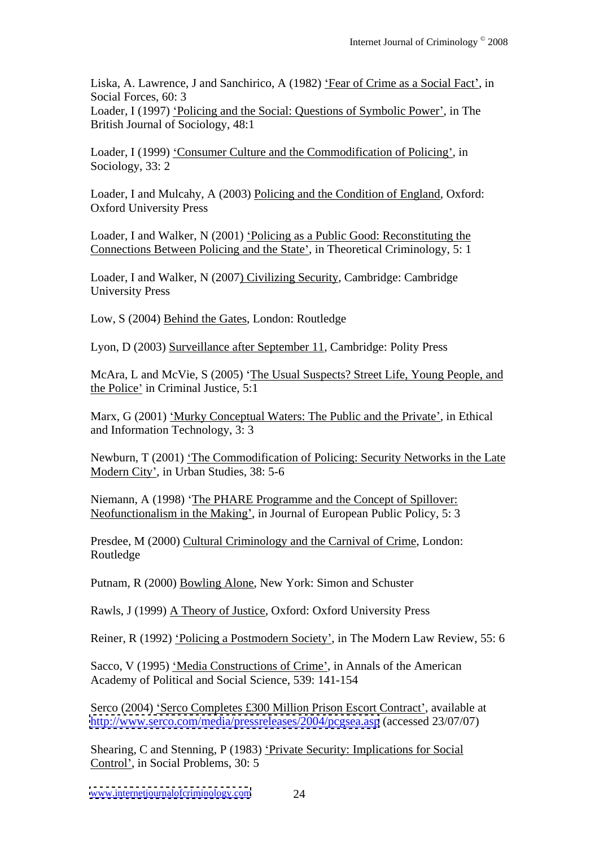Liska, A. Lawrence, J and Sanchirico, A (1982) 'Fear of Crime as a Social Fact', in Social Forces, 60: 3 Loader, I (1997) 'Policing and the Social: Questions of Symbolic Power', in The British Journal of Sociology, 48:1

Loader, I (1999) 'Consumer Culture and the Commodification of Policing', in Sociology, 33: 2

Loader, I and Mulcahy, A (2003) Policing and the Condition of England, Oxford: Oxford University Press

Loader, I and Walker, N (2001) 'Policing as a Public Good: Reconstituting the Connections Between Policing and the State', in Theoretical Criminology, 5: 1

Loader, I and Walker, N (2007) Civilizing Security, Cambridge: Cambridge University Press

Low, S (2004) Behind the Gates, London: Routledge

Lyon, D (2003) Surveillance after September 11, Cambridge: Polity Press

McAra, L and McVie, S (2005) 'The Usual Suspects? Street Life, Young People, and the Police' in Criminal Justice, 5:1

Marx, G (2001) 'Murky Conceptual Waters: The Public and the Private', in Ethical and Information Technology, 3: 3

Newburn, T (2001) The Commodification of Policing: Security Networks in the Late Modern City', in Urban Studies, 38: 5-6

Niemann, A (1998) 'The PHARE Programme and the Concept of Spillover: Neofunctionalism in the Making', in Journal of European Public Policy, 5: 3

Presdee, M (2000) Cultural Criminology and the Carnival of Crime, London: Routledge **Routledge** 

Putnam, R (2000) Bowling Alone, New York: Simon and Schuster

Rawls, J (1999) A Theory of Justice, Oxford: Oxford University Press

Reiner, R (1992) Policing a Postmodern Society', in The Modern Law Review, 55: 6

Sacco, V (1995) 'Media Constructions of Crime', in Annals of the American Academy of Political and Social Science, 539: 141-154

Serco (2004) 'Serco Completes £300 Million Prison Escort Contract', available at <http://www.serco.com/media/pressreleases/2004/pcgsea.asp> (accessed 23/07/07)

Shearing, C and Stenning, P (1983) 'Private Security: Implications for Social Control', in Social Problems, 30: 5